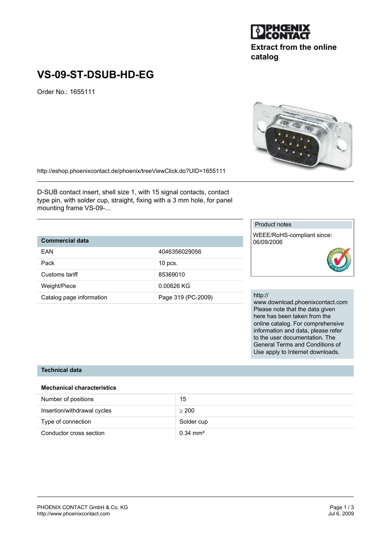#### PHOENIX CONTACT GmbH & Co. KG<br>
http://www.phoenixcontact.com<br>
Jul 6, 2009 http://www.phoenixcontact.com

# **VS-09-ST-DSUB-HD-EG**

Order No.: 1655111

http://eshop.phoenixcontact.de/phoenix/treeViewClick.do?UID=1655111

D-SUB contact insert, shell size 1, with 15 signal contacts, contact type pin, with solder cup, straight, fixing with a 3 mm hole, for panel mounting frame VS-09-...

## **Commercial data**

| EAN                      | 4046356029056      |
|--------------------------|--------------------|
| Pack                     | $10$ pcs.          |
| Customs tariff           | 85369010           |
| Weight/Piece             | 0.00626 KG         |
| Catalog page information | Page 319 (PC-2009) |

#### Product notes

WEEE/RoHS-compliant since: 06/09/2006

#### http://

www.download.phoenixcontact.com Please note that the data given here has been taken from the online catalog. For comprehensive information and data, please refer to the user documentation. The General Terms and Conditions of Use apply to Internet downloads.

### **Technical data**

## **Mechanical characteristics**

| Number of positions         | 15                  |
|-----------------------------|---------------------|
| Insertion/withdrawal cycles | > 200               |
| Type of connection          | Solder cup          |
| Conductor cross section     | $0.34 \text{ mm}^2$ |



**catalog**

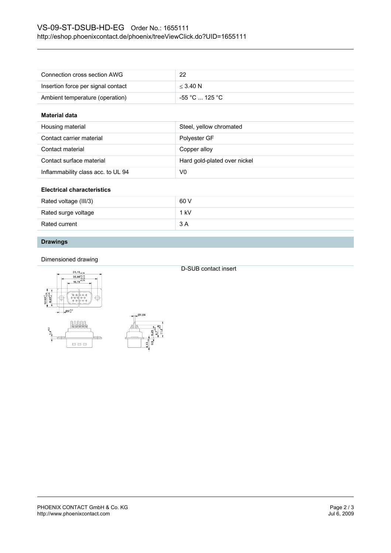| Connection cross section AWG       | 22             |
|------------------------------------|----------------|
| Insertion force per signal contact | $<$ 3.40 N     |
| Ambient temperature (operation)    | -55 °C  125 °C |

#### **Material data**

| Housing material                   | Steel, yellow chromated      |
|------------------------------------|------------------------------|
| Contact carrier material           | Polyester GF                 |
| Contact material                   | Copper alloy                 |
| Contact surface material           | Hard gold-plated over nickel |
| Inflammability class acc. to UL 94 | V0                           |

#### **Electrical characteristics**

| Rated voltage (III/3) | 60 V   |
|-----------------------|--------|
| Rated surge voltage   | $1$ kV |
| Rated current         | 3 A    |

## **Drawings**

#### Dimensioned drawing





D-SUB contact insert